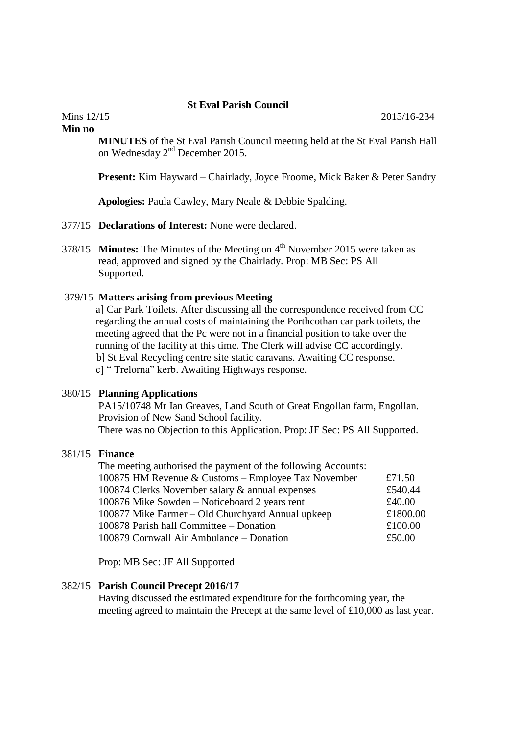## **St Eval Parish Council**

**Min no**

**MINUTES** of the St Eval Parish Council meeting held at the St Eval Parish Hall on Wednesday  $2<sup>nd</sup>$  December 2015.

**Present:** Kim Hayward – Chairlady, Joyce Froome, Mick Baker & Peter Sandry

**Apologies:** Paula Cawley, Mary Neale & Debbie Spalding.

- 377/15 **Declarations of Interest:** None were declared.
- 378/15 **Minutes:** The Minutes of the Meeting on 4<sup>th</sup> November 2015 were taken as read, approved and signed by the Chairlady. Prop: MB Sec: PS All Supported.

## 379/15 **Matters arising from previous Meeting**

 a] Car Park Toilets. After discussing all the correspondence received from CC regarding the annual costs of maintaining the Porthcothan car park toilets, the meeting agreed that the Pc were not in a financial position to take over the running of the facility at this time. The Clerk will advise CC accordingly. b] St Eval Recycling centre site static caravans. Awaiting CC response. c] " Trelorna" kerb. Awaiting Highways response.

## 380/15 **Planning Applications**

 PA15/10748 Mr Ian Greaves, Land South of Great Engollan farm, Engollan. Provision of New Sand School facility.

There was no Objection to this Application. Prop: JF Sec: PS All Supported.

## 381/15 **Finance**

| The meeting authorised the payment of the following Accounts: |          |
|---------------------------------------------------------------|----------|
| 100875 HM Revenue & Customs – Employee Tax November           | £71.50   |
| 100874 Clerks November salary & annual expenses               | £540.44  |
| 100876 Mike Sowden – Noticeboard 2 years rent                 | £40.00   |
| 100877 Mike Farmer – Old Churchyard Annual upkeep             | £1800.00 |
| 100878 Parish hall Committee - Donation                       | £100.00  |
| 100879 Cornwall Air Ambulance – Donation                      | £50.00   |

Prop: MB Sec: JF All Supported

## 382/15 **Parish Council Precept 2016/17**

 Having discussed the estimated expenditure for the forthcoming year, the meeting agreed to maintain the Precept at the same level of £10,000 as last year.